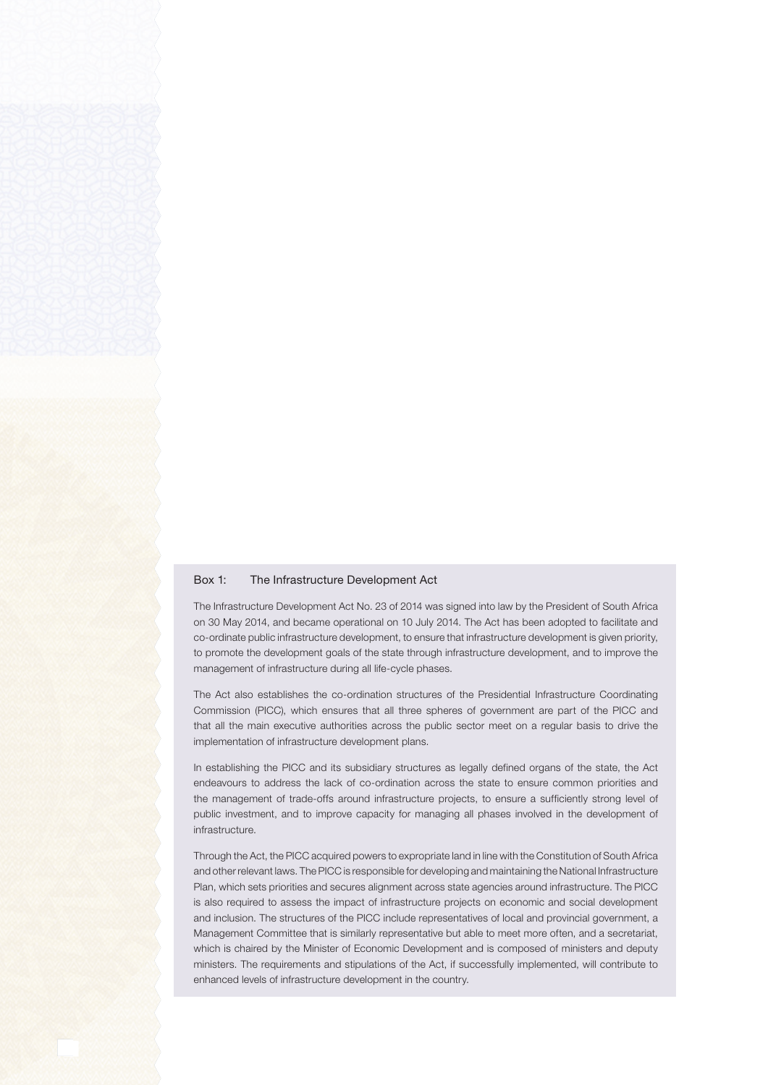## Box 1: The Infrastructure Development Act

The Infrastructure Development Act No. 23 of 2014 was signed into law by the President of South Africa on 30 May 2014, and became operational on 10 July 2014. The Act has been adopted to facilitate and co-ordinate public infrastructure development, to ensure that infrastructure development is given priority, to promote the development goals of the state through infrastructure development, and to improve the management of infrastructure during all life-cycle phases.

The Act also establishes the co-ordination structures of the Presidential Infrastructure Coordinating Commission (PICC), which ensures that all three spheres of government are part of the PICC and that all the main executive authorities across the public sector meet on a regular basis to drive the implementation of infrastructure development plans.

In establishing the PICC and its subsidiary structures as legally defined organs of the state, the Act endeavours to address the lack of co-ordination across the state to ensure common priorities and the management of trade-offs around infrastructure projects, to ensure a sufficiently strong level of public investment, and to improve capacity for managing all phases involved in the development of infrastructure.

Through the Act, the PICC acquired powers to expropriate land in line with the Constitution of South Africa and other relevant laws. The PICC is responsible for developing and maintaining the National Infrastructure Plan, which sets priorities and secures alignment across state agencies around infrastructure. The PICC is also required to assess the impact of infrastructure projects on economic and social development and inclusion. The structures of the PICC include representatives of local and provincial government, a Management Committee that is similarly representative but able to meet more often, and a secretariat, which is chaired by the Minister of Economic Development and is composed of ministers and deputy ministers. The requirements and stipulations of the Act, if successfully implemented, will contribute to enhanced levels of infrastructure development in the country.